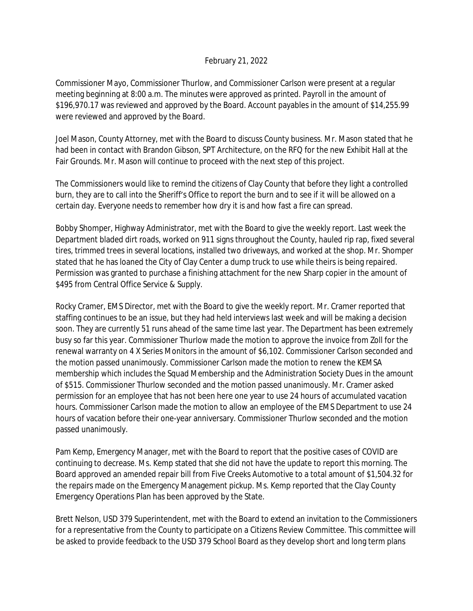## February 21, 2022

Commissioner Mayo, Commissioner Thurlow, and Commissioner Carlson were present at a regular meeting beginning at 8:00 a.m. The minutes were approved as printed. Payroll in the amount of \$196,970.17 was reviewed and approved by the Board. Account payables in the amount of \$14,255.99 were reviewed and approved by the Board.

Joel Mason, County Attorney, met with the Board to discuss County business. Mr. Mason stated that he had been in contact with Brandon Gibson, SPT Architecture, on the RFQ for the new Exhibit Hall at the Fair Grounds. Mr. Mason will continue to proceed with the next step of this project.

The Commissioners would like to remind the citizens of Clay County that before they light a controlled burn, they are to call into the Sheriff's Office to report the burn and to see if it will be allowed on a certain day. Everyone needs to remember how dry it is and how fast a fire can spread.

Bobby Shomper, Highway Administrator, met with the Board to give the weekly report. Last week the Department bladed dirt roads, worked on 911 signs throughout the County, hauled rip rap, fixed several tires, trimmed trees in several locations, installed two driveways, and worked at the shop. Mr. Shomper stated that he has loaned the City of Clay Center a dump truck to use while theirs is being repaired. Permission was granted to purchase a finishing attachment for the new Sharp copier in the amount of \$495 from Central Office Service & Supply.

Rocky Cramer, EMS Director, met with the Board to give the weekly report. Mr. Cramer reported that staffing continues to be an issue, but they had held interviews last week and will be making a decision soon. They are currently 51 runs ahead of the same time last year. The Department has been extremely busy so far this year. Commissioner Thurlow made the motion to approve the invoice from Zoll for the renewal warranty on 4 X Series Monitors in the amount of \$6,102. Commissioner Carlson seconded and the motion passed unanimously. Commissioner Carlson made the motion to renew the KEMSA membership which includes the Squad Membership and the Administration Society Dues in the amount of \$515. Commissioner Thurlow seconded and the motion passed unanimously. Mr. Cramer asked permission for an employee that has not been here one year to use 24 hours of accumulated vacation hours. Commissioner Carlson made the motion to allow an employee of the EMS Department to use 24 hours of vacation before their one-year anniversary. Commissioner Thurlow seconded and the motion passed unanimously.

Pam Kemp, Emergency Manager, met with the Board to report that the positive cases of COVID are continuing to decrease. Ms. Kemp stated that she did not have the update to report this morning. The Board approved an amended repair bill from Five Creeks Automotive to a total amount of \$1,504.32 for the repairs made on the Emergency Management pickup. Ms. Kemp reported that the Clay County Emergency Operations Plan has been approved by the State.

Brett Nelson, USD 379 Superintendent, met with the Board to extend an invitation to the Commissioners for a representative from the County to participate on a Citizens Review Committee. This committee will be asked to provide feedback to the USD 379 School Board as they develop short and long term plans